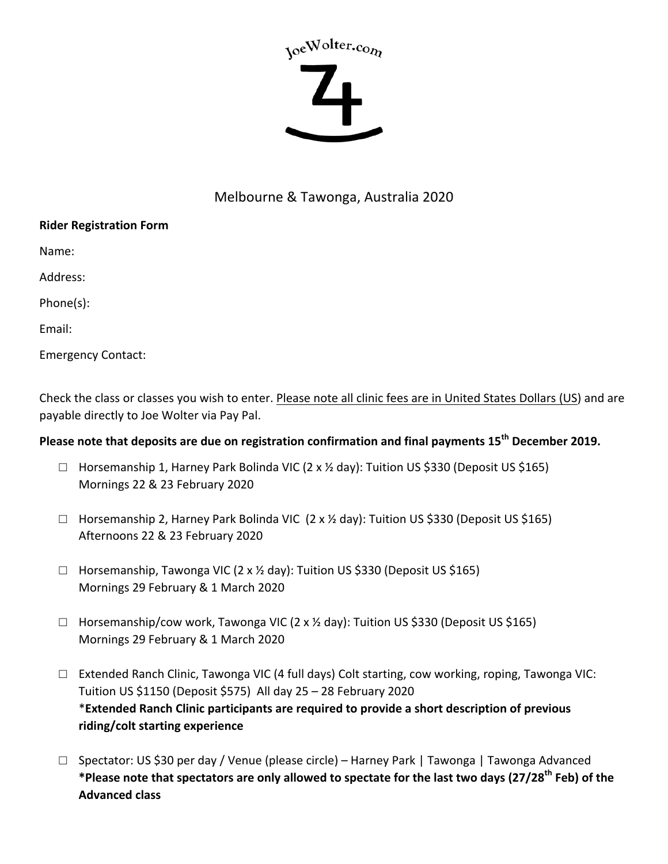# yoeWolter.com

## Melbourne & Tawonga, Australia 2020

### **Rider Registration Form**

Name:

Address:

Phone(s):

Email:

Emergency Contact:

Check the class or classes you wish to enter. Please note all clinic fees are in United States Dollars (US) and are payable directly to Joe Wolter via Pay Pal.

# **Please note that deposits are due on registration confirmation and final payments 15<sup>th</sup> December 2019.**

- $\Box$  Horsemanship 1, Harney Park Bolinda VIC (2 x % day): Tuition US \$330 (Deposit US \$165) Mornings 22 & 23 February 2020
- $\Box$  Horsemanship 2, Harney Park Bolinda VIC (2 x 1/2 day): Tuition US \$330 (Deposit US \$165) Afternoons 22 & 23 February 2020
- $\Box$  Horsemanship, Tawonga VIC (2 x % day): Tuition US \$330 (Deposit US \$165) Mornings 29 February & 1 March 2020
- $\Box$  Horsemanship/cow work, Tawonga VIC (2 x % day): Tuition US \$330 (Deposit US \$165) Mornings 29 February & 1 March 2020
- □ Extended Ranch Clinic, Tawonga VIC (4 full days) Colt starting, cow working, roping, Tawonga VIC: Tuition US \$1150 (Deposit \$575) All day  $25 - 28$  February 2020 \*Extended Ranch Clinic participants are required to provide a short description of previous **riding/colt starting experience**
- □ Spectator: US \$30 per day / Venue (please circle) Harney Park | Tawonga | Tawonga Advanced \*Please note that spectators are only allowed to spectate for the last two days (27/28<sup>th</sup> Feb) of the **Advanced class**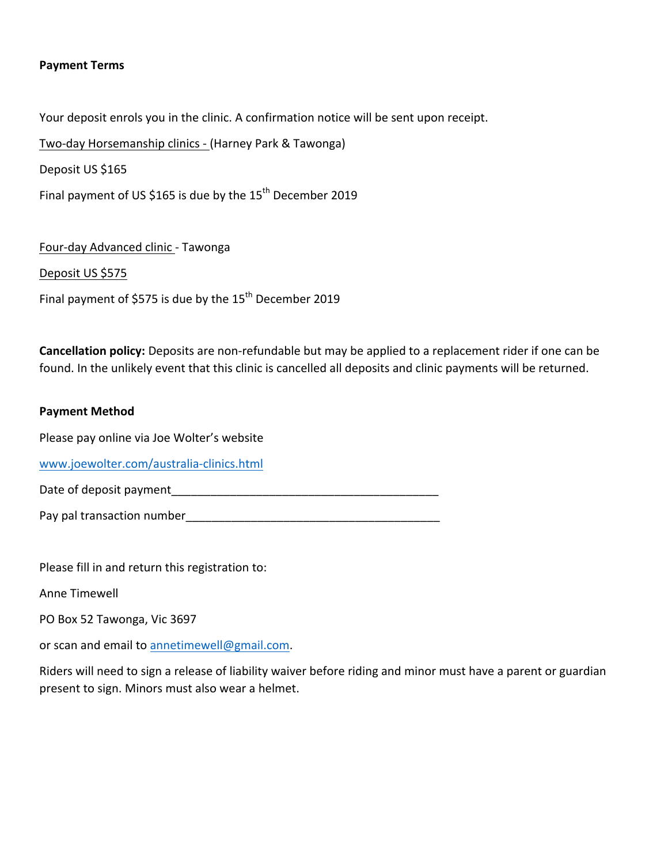#### **Payment Terms**

Your deposit enrols you in the clinic. A confirmation notice will be sent upon receipt.

Two-day Horsemanship clinics - (Harney Park & Tawonga)

Deposit US \$165

Final payment of US \$165 is due by the  $15<sup>th</sup>$  December 2019

Four-day Advanced clinic - Tawonga

Deposit US \$575

Final payment of \$575 is due by the  $15<sup>th</sup>$  December 2019

**Cancellation policy:** Deposits are non-refundable but may be applied to a replacement rider if one can be found. In the unlikely event that this clinic is cancelled all deposits and clinic payments will be returned.

#### **Payment Method**

Please pay online via Joe Wolter's website

www.joewolter.com/australia-clinics.html

Date of deposit payment\_\_\_\_\_\_\_\_\_\_\_\_\_\_\_\_\_\_\_\_\_\_\_\_\_\_\_\_\_\_\_\_\_\_\_\_\_\_\_\_\_

Pay pal transaction number

Please fill in and return this registration to:

Anne Timewell

PO Box 52 Tawonga, Vic 3697

or scan and email to annetimewell@gmail.com.

Riders will need to sign a release of liability waiver before riding and minor must have a parent or guardian present to sign. Minors must also wear a helmet.